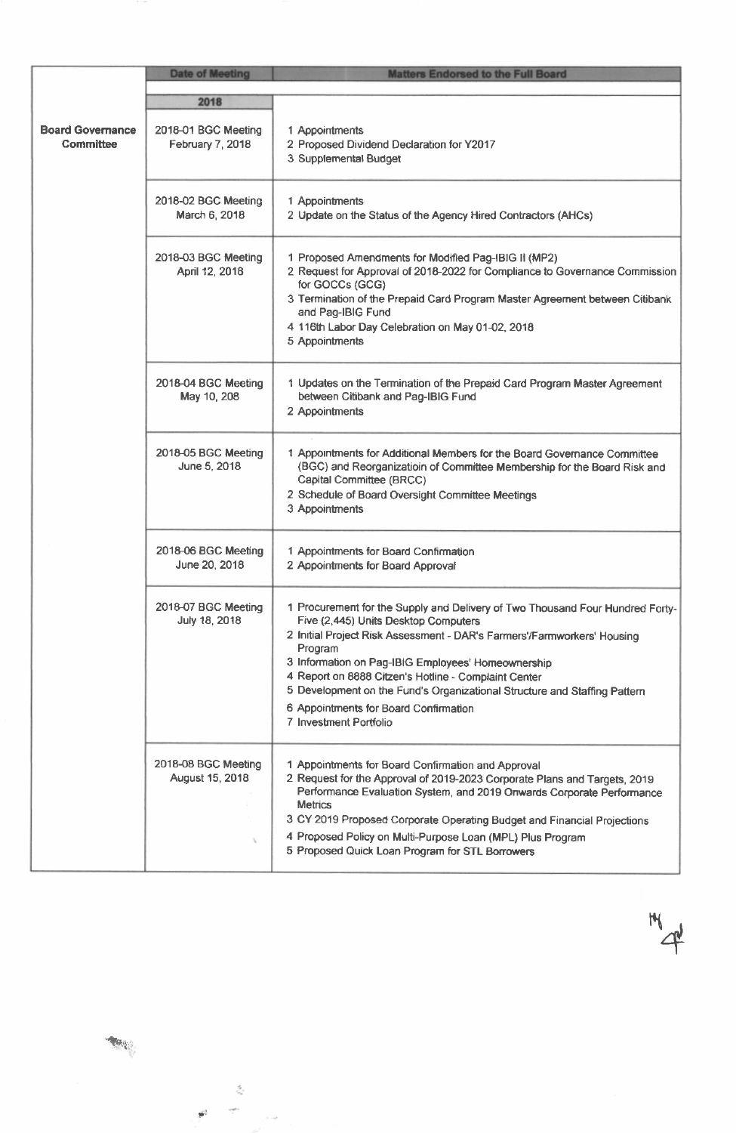|                                             | <b>Date of Meeting</b>                  | <b>Matters Endorsed to the Full Board</b>                                                                                                                                                                                                                                                                                                                                                                                                                                 |
|---------------------------------------------|-----------------------------------------|---------------------------------------------------------------------------------------------------------------------------------------------------------------------------------------------------------------------------------------------------------------------------------------------------------------------------------------------------------------------------------------------------------------------------------------------------------------------------|
|                                             | 2018                                    |                                                                                                                                                                                                                                                                                                                                                                                                                                                                           |
| <b>Board Governance</b><br><b>Committee</b> | 2018-01 BGC Meeting<br>February 7, 2018 | 1 Appointments<br>2 Proposed Dividend Declaration for Y2017<br>3 Supplemental Budget                                                                                                                                                                                                                                                                                                                                                                                      |
|                                             | 2018-02 BGC Meeting<br>March 6, 2018    | 1 Appointments<br>2 Update on the Status of the Agency Hired Contractors (AHCs)                                                                                                                                                                                                                                                                                                                                                                                           |
|                                             | 2018-03 BGC Meeting<br>April 12, 2018   | 1 Proposed Amendments for Modified Pag-IBIG II (MP2)<br>2 Request for Approval of 2018-2022 for Compliance to Governance Commission<br>for GOCCs (GCG)<br>3 Termination of the Prepaid Card Program Master Agreement between Citibank<br>and Pag-IBIG Fund<br>4 116th Labor Day Celebration on May 01-02, 2018<br>5 Appointments                                                                                                                                          |
|                                             | 2018-04 BGC Meeting<br>May 10, 208      | 1 Updates on the Termination of the Prepaid Card Program Master Agreement<br>between Citibank and Pag-IBIG Fund<br>2 Appointments                                                                                                                                                                                                                                                                                                                                         |
|                                             | 2018-05 BGC Meeting<br>June 5, 2018     | 1 Appointments for Additional Members for the Board Governance Committee<br>(BGC) and Reorganizatioin of Committee Membership for the Board Risk and<br>Capital Committee (BRCC)<br>2 Schedule of Board Oversight Committee Meetings<br>3 Appointments                                                                                                                                                                                                                    |
|                                             | 2018-06 BGC Meeting<br>June 20, 2018    | 1 Appointments for Board Confirmation<br>2 Appointments for Board Approval                                                                                                                                                                                                                                                                                                                                                                                                |
|                                             | 2018-07 BGC Meeting<br>July 18, 2018    | 1 Procurement for the Supply and Delivery of Two Thousand Four Hundred Forty-<br>Five (2,445) Units Desktop Computers<br>2 Initial Project Risk Assessment - DAR's Farmers'/Farmworkers' Housing<br>Program<br>3 Information on Pag-IBIG Employees' Homeownership<br>4 Report on 8888 Citzen's Hotline - Complaint Center<br>5 Development on the Fund's Organizational Structure and Staffing Pattern<br>6 Appointments for Board Confirmation<br>7 Investment Portfolio |
|                                             | 2018-08 BGC Meeting<br>August 15, 2018  | 1 Appointments for Board Confirmation and Approval<br>2 Request for the Approval of 2019-2023 Corporate Plans and Targets, 2019<br>Performance Evaluation System, and 2019 Onwards Corporate Performance<br><b>Metrics</b><br>3 CY 2019 Proposed Corporate Operating Budget and Financial Projections<br>4 Proposed Policy on Multi-Purpose Loan (MPL) Plus Program<br>5 Proposed Quick Loan Program for STL Borrowers                                                    |

\*4

 $\mathcal{L}_{\mathcal{S}}$ 

 $\tilde{\mathbf{r}}^2$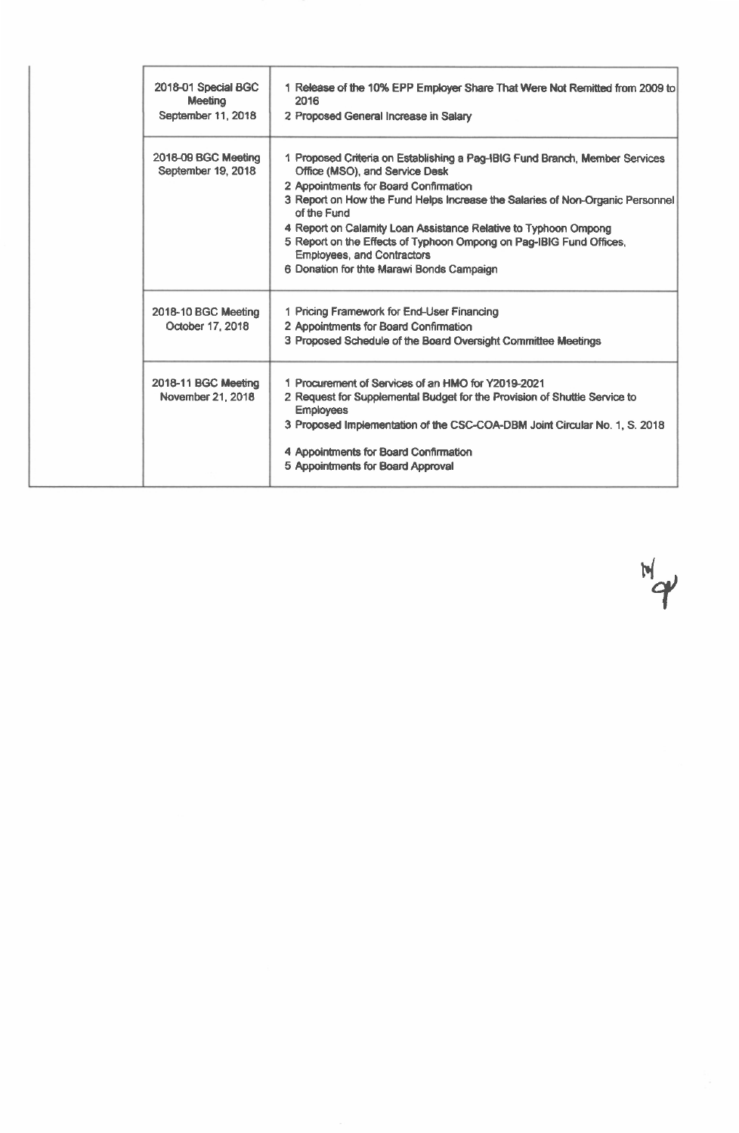| 2018-01 Special BGC<br><b>Meeting</b><br>September 11, 2018 | 1 Release of the 10% EPP Employer Share That Were Not Remitted from 2009 to<br>2016<br>2 Proposed General Increase in Salary                                                                                                                                                                                                                                                                                                                                                       |
|-------------------------------------------------------------|------------------------------------------------------------------------------------------------------------------------------------------------------------------------------------------------------------------------------------------------------------------------------------------------------------------------------------------------------------------------------------------------------------------------------------------------------------------------------------|
| 2018-09 BGC Meeting<br>September 19, 2018                   | 1 Proposed Criteria on Establishing a Pag-IBIG Fund Branch, Member Services<br>Office (MSO), and Service Desk<br>2 Appointments for Board Confirmation<br>3 Report on How the Fund Helps Increase the Salaries of Non-Organic Personnel<br>of the Fund<br>4 Report on Calamity Loan Assistance Relative to Typhoon Ompong<br>5 Report on the Effects of Typhoon Ompong on Pag-IBIG Fund Offices,<br><b>Employees, and Contractors</b><br>6 Donation for thte Marawi Bonds Campaign |
| 2018-10 BGC Meeting<br>October 17, 2018                     | 1 Pricing Framework for End-User Financing<br>2 Appointments for Board Confirmation<br>3 Proposed Schedule of the Board Oversight Committee Meetings                                                                                                                                                                                                                                                                                                                               |
| 2018-11 BGC Meeting<br><b>November 21, 2018</b>             | 1 Procurement of Services of an HMO for Y2019-2021<br>2 Request for Supplemental Budget for the Provision of Shuttle Service to<br><b>Employees</b><br>3 Proposed Implementation of the CSC-COA-DBM Joint Circular No. 1, S. 2018<br>4 Appointments for Board Confirmation<br>5 Appointments for Board Approval                                                                                                                                                                    |

 $M_{\phi}$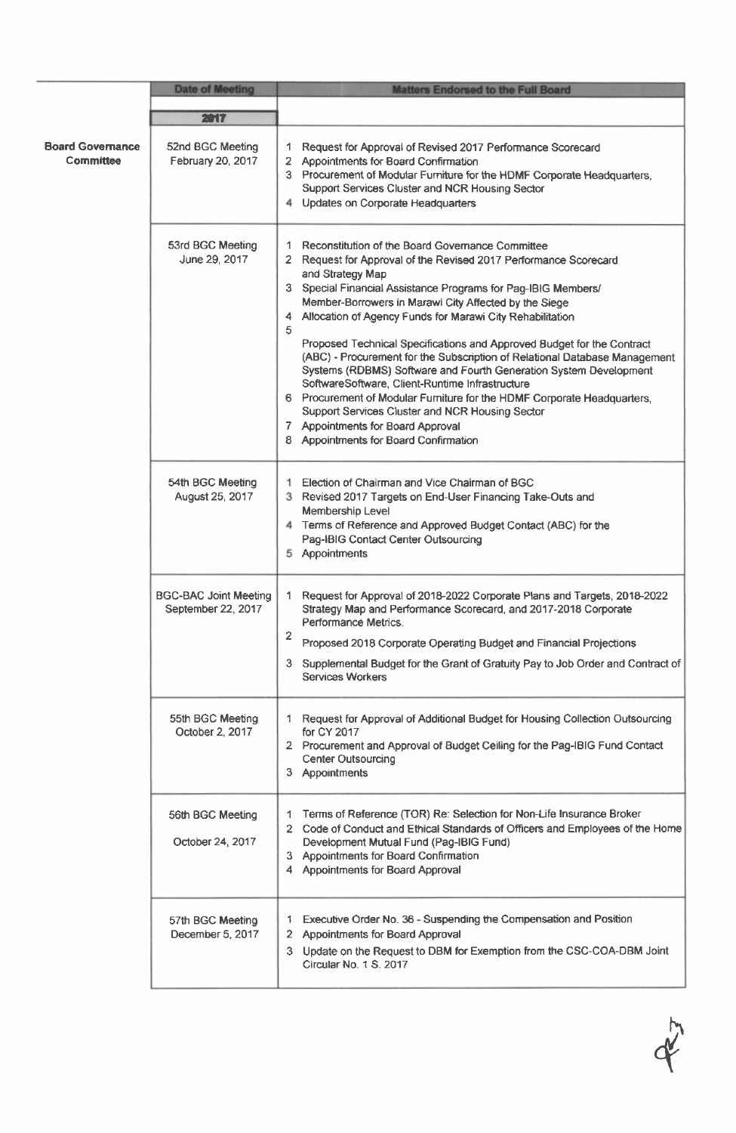|                                      | <b>Date of Meeting</b>                             | <b>Matters Endorsed to the Full Board</b>                                                                                                                                                                                                                                                                                                                                                                                                                                                                                                                                                                                                                                                                                                                                                                                                   |
|--------------------------------------|----------------------------------------------------|---------------------------------------------------------------------------------------------------------------------------------------------------------------------------------------------------------------------------------------------------------------------------------------------------------------------------------------------------------------------------------------------------------------------------------------------------------------------------------------------------------------------------------------------------------------------------------------------------------------------------------------------------------------------------------------------------------------------------------------------------------------------------------------------------------------------------------------------|
|                                      | 2017                                               |                                                                                                                                                                                                                                                                                                                                                                                                                                                                                                                                                                                                                                                                                                                                                                                                                                             |
| <b>Board Governance</b><br>Committee | 52nd BGC Meeting<br>February 20, 2017              | Request for Approval of Revised 2017 Performance Scorecard<br>1.<br>2 Appointments for Board Confirmation<br>3 Procurement of Modular Furniture for the HDMF Corporate Headquarters,<br>Support Services Cluster and NCR Housing Sector<br>4 Updates on Corporate Headquarters                                                                                                                                                                                                                                                                                                                                                                                                                                                                                                                                                              |
|                                      | 53rd BGC Meeting<br>June 29, 2017                  | Reconstitution of the Board Governance Committee<br>1.<br>2 Request for Approval of the Revised 2017 Performance Scorecard<br>and Strategy Map<br>3 Special Financial Assistance Programs for Pag-IBIG Members/<br>Member-Borrowers in Marawi City Affected by the Siege<br>Allocation of Agency Funds for Marawi City Rehabilitation<br>4<br>5<br>Proposed Technical Specifications and Approved Budget for the Contract<br>(ABC) - Procurement for the Subscription of Relational Database Management<br>Systems (RDBMS) Software and Fourth Generation System Development<br>SoftwareSoftware, Client-Runtime Infrastructure<br>6 Procurement of Modular Furniture for the HDMF Corporate Headquarters,<br>Support Services Cluster and NCR Housing Sector<br>7 Appointments for Board Approval<br>8 Appointments for Board Confirmation |
|                                      | 54th BGC Meeting<br>August 25, 2017                | 1 Election of Chairman and Vice Chairman of BGC<br>3 Revised 2017 Targets on End-User Financing Take-Outs and<br>Membership Level<br>4 Terms of Reference and Approved Budget Contact (ABC) for the<br>Pag-IBIG Contact Center Outsourcing<br>5 Appointments                                                                                                                                                                                                                                                                                                                                                                                                                                                                                                                                                                                |
|                                      | <b>BGC-BAC Joint Meeting</b><br>September 22, 2017 | 1 Request for Approval of 2018-2022 Corporate Plans and Targets, 2018-2022<br>Strategy Map and Performance Scorecard, and 2017-2018 Corporate<br>Performance Metrics.<br>2<br>Proposed 2018 Corporate Operating Budget and Financial Projections<br>3 Supplemental Budget for the Grant of Gratuity Pay to Job Order and Contract of<br><b>Services Workers</b>                                                                                                                                                                                                                                                                                                                                                                                                                                                                             |
|                                      | 55th BGC Meeting<br>October 2, 2017                | 1 Request for Approval of Additional Budget for Housing Collection Outsourcing<br>for CY 2017<br>2 Procurement and Approval of Budget Ceiling for the Pag-IBIG Fund Contact<br><b>Center Outsourcing</b><br>3 Appointments                                                                                                                                                                                                                                                                                                                                                                                                                                                                                                                                                                                                                  |
|                                      | 56th BGC Meeting<br>October 24, 2017               | Terms of Reference (TOR) Re: Selection for Non-Life Insurance Broker<br>1.<br>2 Code of Conduct and Ethical Standards of Officers and Employees of the Home<br>Development Mutual Fund (Pag-IBIG Fund)<br>3 Appointments for Board Confirmation<br>4 Appointments for Board Approval                                                                                                                                                                                                                                                                                                                                                                                                                                                                                                                                                        |
|                                      | 57th BGC Meeting<br>December 5, 2017               | Executive Order No. 36 - Suspending the Compensation and Position<br>$\mathbf{1}$<br>2 Appointments for Board Approval<br>3 Update on the Request to DBM for Exemption from the CSC-COA-DBM Joint<br>Circular No. 1 S. 2017                                                                                                                                                                                                                                                                                                                                                                                                                                                                                                                                                                                                                 |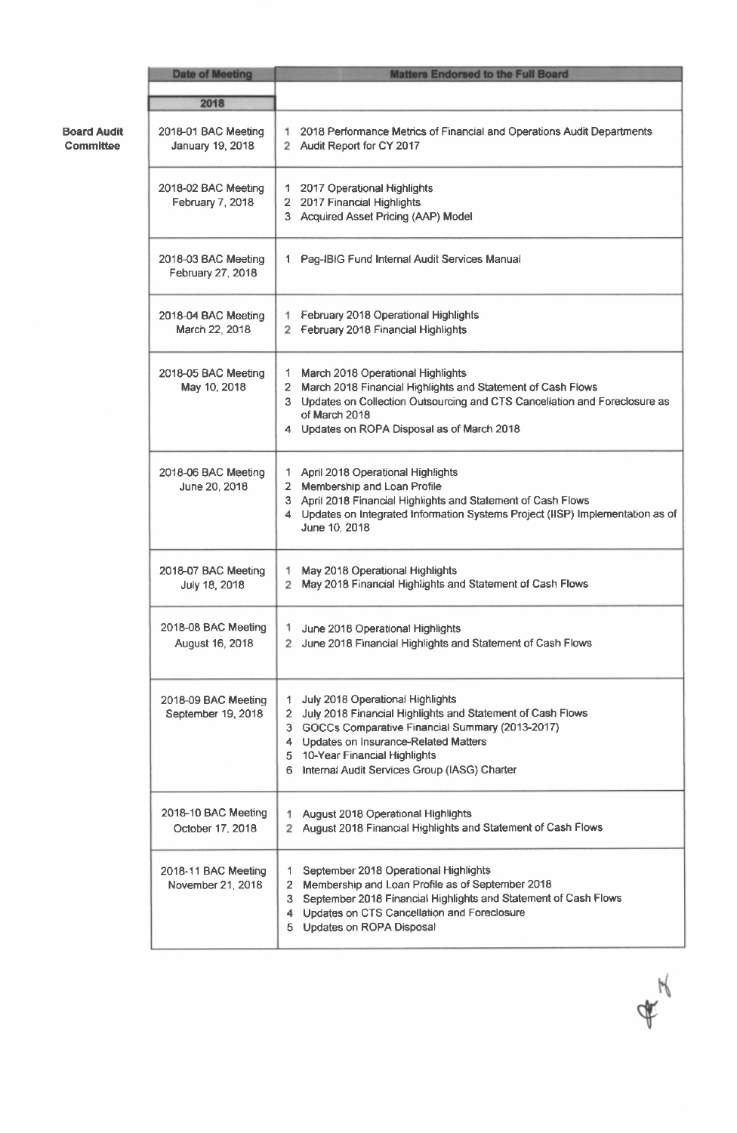|                                 | <b>Date of Meeting</b>                    | <b>Matters Endorsed to the Full Board</b>                                                                                                                                                                                                                                                |
|---------------------------------|-------------------------------------------|------------------------------------------------------------------------------------------------------------------------------------------------------------------------------------------------------------------------------------------------------------------------------------------|
|                                 | 2018                                      |                                                                                                                                                                                                                                                                                          |
| <b>Board Audit</b><br>Committee | 2018-01 BAC Meeting<br>January 19, 2018   | 1 2018 Performance Metrics of Financial and Operations Audit Departments<br>2 Audit Report for CY 2017                                                                                                                                                                                   |
|                                 | 2018-02 BAC Meeting<br>February 7, 2018   | 1 2017 Operational Highlights<br>2 2017 Financial Highlights<br>3 Acquired Asset Pricing (AAP) Model                                                                                                                                                                                     |
|                                 | 2018-03 BAC Meeting<br>February 27, 2018  | 1 Pag-IBIG Fund Internal Audit Services Manual                                                                                                                                                                                                                                           |
|                                 | 2018-04 BAC Meeting<br>March 22, 2018     | 1 February 2018 Operational Highlights<br>2 February 2018 Financial Highlights                                                                                                                                                                                                           |
|                                 | 2018-05 BAC Meeting<br>May 10, 2018       | 1 March 2018 Operational Highlights<br>2 March 2018 Financial Highlights and Statement of Cash Flows<br>3 Updates on Collection Outsourcing and CTS Cancellation and Foreclosure as<br>of March 2018<br>4 Updates on ROPA Disposal as of March 2018                                      |
|                                 | 2018-06 BAC Meeting<br>June 20, 2018      | 1 April 2018 Operational Highlights<br>2 Membership and Loan Profile<br>3 April 2018 Financial Highlights and Statement of Cash Flows<br>4 Updates on Integrated Information Systems Project (IISP) Implementation as of<br>June 10, 2018                                                |
|                                 | 2018-07 BAC Meeting<br>July 18, 2018      | May 2018 Operational Highlights<br>May 2018 Financial Highlights and Statement of Cash Flows                                                                                                                                                                                             |
|                                 | 2018-08 BAC Meeting<br>August 16, 2018    | 1 June 2018 Operational Highlights<br>2 June 2018 Financial Highlights and Statement of Cash Flows                                                                                                                                                                                       |
|                                 | 2018-09 BAC Meeting<br>September 19, 2018 | July 2018 Operational Highlights<br>1<br>2 July 2018 Financial Highlights and Statement of Cash Flows<br>3 GOCCs Comparative Financial Summary (2013-2017)<br>4 Updates on Insurance-Related Matters<br>5 10-Year Financial Highlights<br>6 Internal Audit Services Group (IASG) Charter |
|                                 | 2018-10 BAC Meeting<br>October 17, 2018   | 1 August 2018 Operational Highlights<br>2 August 2018 Financial Highlights and Statement of Cash Flows                                                                                                                                                                                   |
|                                 | 2018-11 BAC Meeting<br>November 21, 2018  | September 2018 Operational Highlights<br>Membership and Loan Profile as of September 2018<br>September 2018 Financial Highlights and Statement of Cash Flows<br>3<br>4 Updates on CTS Cancellation and Foreclosure<br>5 Updates on ROPA Disposal                                         |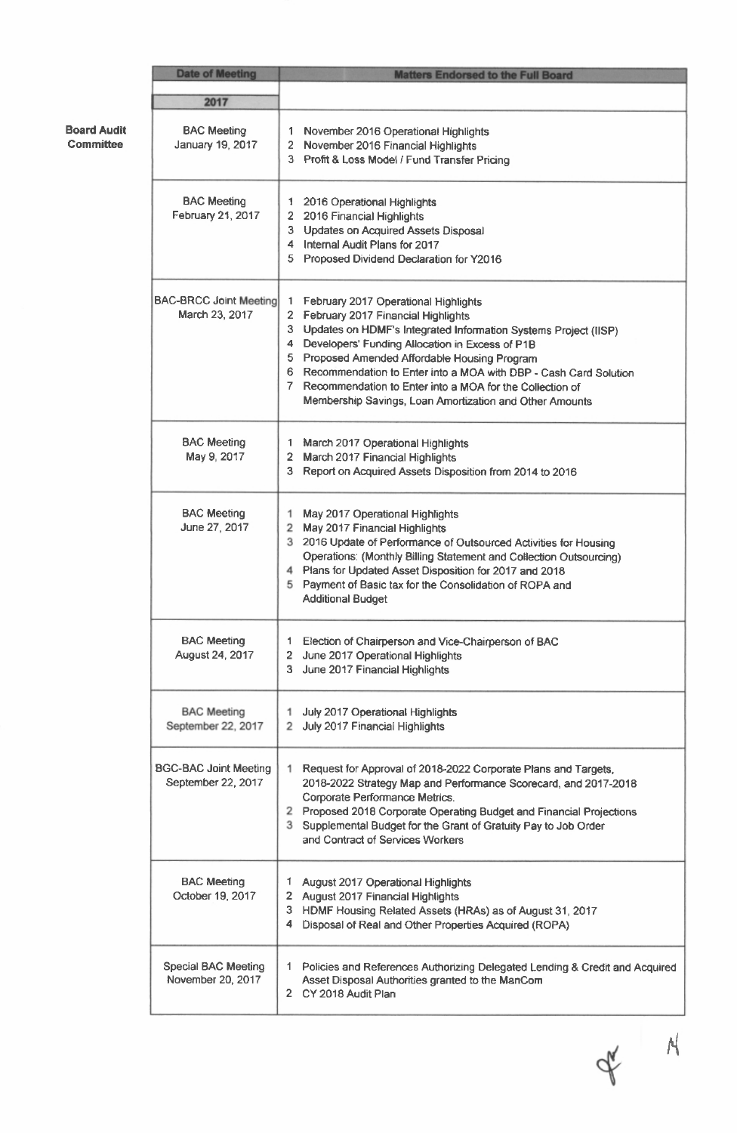|                                        | <b>Date of Meeting</b>                             | <b>Matters Endorsed to the Full Board</b>                                                                                                                                                                                                                                                                                                                                                                                                                    |
|----------------------------------------|----------------------------------------------------|--------------------------------------------------------------------------------------------------------------------------------------------------------------------------------------------------------------------------------------------------------------------------------------------------------------------------------------------------------------------------------------------------------------------------------------------------------------|
|                                        | 2017                                               |                                                                                                                                                                                                                                                                                                                                                                                                                                                              |
| <b>Board Audit</b><br><b>Committee</b> | <b>BAC Meeting</b><br>January 19, 2017             | 1 November 2016 Operational Highlights<br>2 November 2016 Financial Highlights<br>3 Profit & Loss Model / Fund Transfer Pricing                                                                                                                                                                                                                                                                                                                              |
|                                        | <b>BAC Meeting</b><br>February 21, 2017            | 1 2016 Operational Highlights<br>2 2016 Financial Highlights<br>3 Updates on Acquired Assets Disposal<br>4 Internal Audit Plans for 2017<br>5 Proposed Dividend Declaration for Y2016                                                                                                                                                                                                                                                                        |
|                                        | <b>BAC-BRCC Joint Meeting</b><br>March 23, 2017    | February 2017 Operational Highlights<br>1.<br>2 February 2017 Financial Highlights<br>3 Updates on HDMF's Integrated Information Systems Project (IISP)<br>4 Developers' Funding Allocation in Excess of P1B<br>5 Proposed Amended Affordable Housing Program<br>6 Recommendation to Enter into a MOA with DBP - Cash Card Solution<br>7 Recommendation to Enter into a MOA for the Collection of<br>Membership Savings, Loan Amortization and Other Amounts |
|                                        | <b>BAC Meeting</b><br>May 9, 2017                  | 1 March 2017 Operational Highlights<br>2 March 2017 Financial Highlights<br>3 Report on Acquired Assets Disposition from 2014 to 2016                                                                                                                                                                                                                                                                                                                        |
|                                        | <b>BAC Meeting</b><br>June 27, 2017                | May 2017 Operational Highlights<br>1.<br>2 May 2017 Financial Highlights<br>3 2016 Update of Performance of Outsourced Activities for Housing<br>Operations: (Monthly Billing Statement and Collection Outsourcing)<br>4 Plans for Updated Asset Disposition for 2017 and 2018<br>5<br>Payment of Basic tax for the Consolidation of ROPA and<br><b>Additional Budget</b>                                                                                    |
|                                        | <b>BAC Meeting</b><br>August 24, 2017              | 1 Election of Chairperson and Vice-Chairperson of BAC<br>2 June 2017 Operational Highlights<br>3 June 2017 Financial Highlights                                                                                                                                                                                                                                                                                                                              |
|                                        | <b>BAC Meeting</b><br>September 22, 2017           | 1 July 2017 Operational Highlights<br>2 July 2017 Financial Highlights                                                                                                                                                                                                                                                                                                                                                                                       |
|                                        | <b>BGC-BAC Joint Meeting</b><br>September 22, 2017 | 1 Request for Approval of 2018-2022 Corporate Plans and Targets,<br>2018-2022 Strategy Map and Performance Scorecard, and 2017-2018<br>Corporate Performance Metrics.<br>2 Proposed 2018 Corporate Operating Budget and Financial Projections<br>3 Supplemental Budget for the Grant of Gratuity Pay to Job Order<br>and Contract of Services Workers                                                                                                        |
|                                        | <b>BAC Meeting</b><br>October 19, 2017             | 1 August 2017 Operational Highlights<br>2 August 2017 Financial Highlights<br>3 HDMF Housing Related Assets (HRAs) as of August 31, 2017<br>4 Disposal of Real and Other Properties Acquired (ROPA)                                                                                                                                                                                                                                                          |
|                                        | <b>Special BAC Meeting</b><br>November 20, 2017    | 1 Policies and References Authorizing Delegated Lending & Credit and Acquired<br>Asset Disposal Authorities granted to the ManCom<br>2 CY 2018 Audit Plan                                                                                                                                                                                                                                                                                                    |

 $4^{4}$  A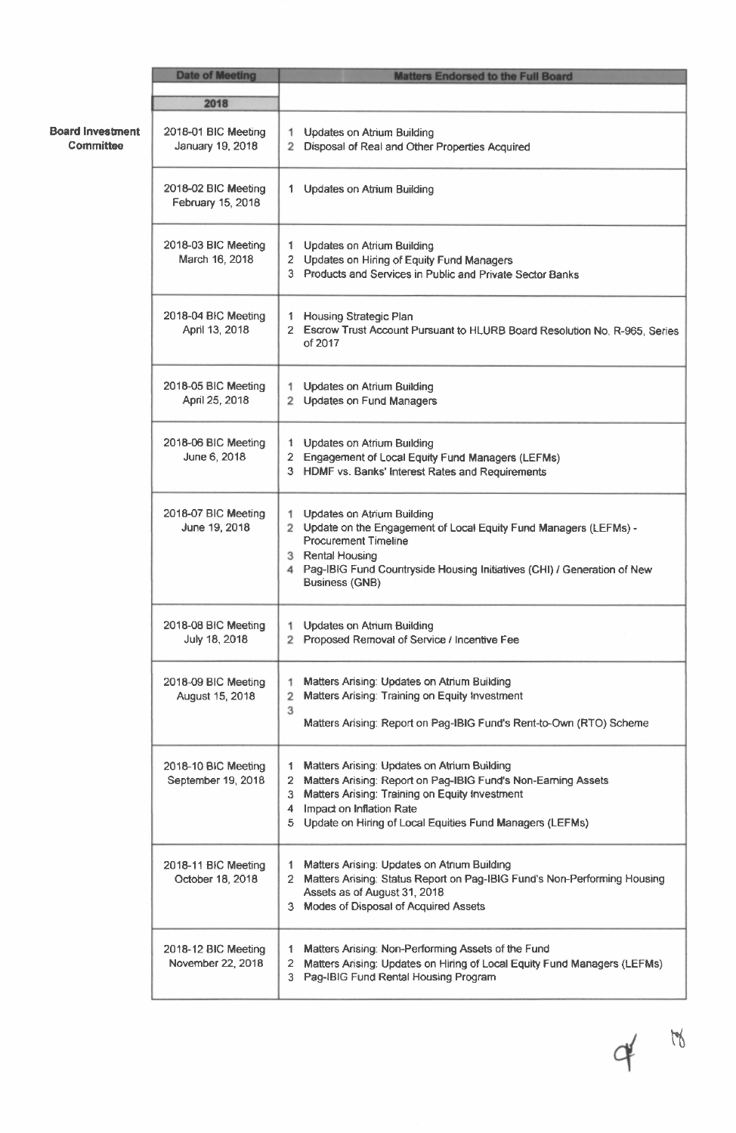|                                             | <b>Date of Meeting</b>                    | <b>Matters Endorsed to the Full Board</b>                                                                                                                                                                                                                                     |
|---------------------------------------------|-------------------------------------------|-------------------------------------------------------------------------------------------------------------------------------------------------------------------------------------------------------------------------------------------------------------------------------|
|                                             | 2018                                      |                                                                                                                                                                                                                                                                               |
| <b>Board Investment</b><br><b>Committee</b> | 2018-01 BIC Meeting<br>January 19, 2018   | 1 Updates on Atrium Building<br>2 Disposal of Real and Other Properties Acquired                                                                                                                                                                                              |
|                                             | 2018-02 BIC Meeting<br>February 15, 2018  | 1 Updates on Atrium Building                                                                                                                                                                                                                                                  |
|                                             | 2018-03 BIC Meeting<br>March 16, 2018     | 1 Updates on Atrium Building<br>2 Updates on Hiring of Equity Fund Managers<br>3 Products and Services in Public and Private Sector Banks                                                                                                                                     |
|                                             | 2018-04 BIC Meeting<br>April 13, 2018     | Housing Strategic Plan<br>1.<br>2 Escrow Trust Account Pursuant to HLURB Board Resolution No. R-965, Series<br>of 2017                                                                                                                                                        |
|                                             | 2018-05 BIC Meeting<br>April 25, 2018     | <b>Updates on Atrium Building</b><br>1.<br>2 Updates on Fund Managers                                                                                                                                                                                                         |
|                                             | 2018-06 BIC Meeting<br>June 6, 2018       | 1 Updates on Atrium Building<br>2 Engagement of Local Equity Fund Managers (LEFMs)<br>3 HDMF vs. Banks' interest Rates and Requirements                                                                                                                                       |
|                                             | 2018-07 BIC Meeting<br>June 19, 2018      | <b>Updates on Atrium Building</b><br>1.<br>2 Update on the Engagement of Local Equity Fund Managers (LEFMs) -<br><b>Procurement Timeline</b><br>3 Rental Housing<br>4 Pag-IBIG Fund Countryside Housing Initiatives (CHI) / Generation of New<br><b>Business (GNB)</b>        |
|                                             | 2018-08 BIC Meeting<br>July 18, 2018      | 1 Updates on Atrium Building<br>2 Proposed Removal of Service / Incentive Fee                                                                                                                                                                                                 |
|                                             | 2018-09 BIC Meeting<br>August 15, 2018    | Matters Arising: Updates on Atrium Building<br>1<br>Matters Arising: Training on Equity Investment<br>2<br>3<br>Matters Arising: Report on Pag-IBIG Fund's Rent-to-Own (RTO) Scheme                                                                                           |
|                                             | 2018-10 BIC Meeting<br>September 19, 2018 | Matters Arising: Updates on Atrium Building<br>1.<br>Matters Arising: Report on Pag-IBIG Fund's Non-Earning Assets<br>2<br>Matters Arising: Training on Equity Investment<br>3<br>Impact on Inflation Rate<br>4<br>5 Update on Hiring of Local Equities Fund Managers (LEFMs) |
|                                             | 2018-11 BIC Meeting<br>October 18, 2018   | Matters Arising: Updates on Atrium Building<br>1.<br>2 Matters Arising: Status Report on Pag-IBIG Fund's Non-Performing Housing<br>Assets as of August 31, 2018<br>3 Modes of Disposal of Acquired Assets                                                                     |
|                                             | 2018-12 BIC Meeting<br>November 22, 2018  | Matters Arising: Non-Performing Assets of the Fund<br>1<br>Matters Arising: Updates on Hiring of Local Equity Fund Managers (LEFMs)<br>$\mathbf{2}$<br>3 Pag-IBIG Fund Rental Housing Program                                                                                 |

 $4$   $\frac{10}{10}$